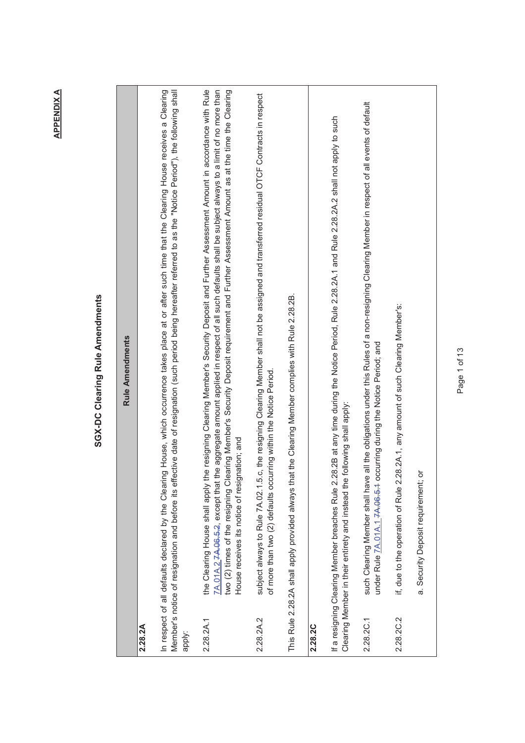## SGX-DC Clearing Rule Amendments **SGX-DC Clearing Rule Amendments**

|           | <b>Rule Amendments</b>                                                                                                                                                                                                                                                                                                                                                                                                                                                                           |
|-----------|--------------------------------------------------------------------------------------------------------------------------------------------------------------------------------------------------------------------------------------------------------------------------------------------------------------------------------------------------------------------------------------------------------------------------------------------------------------------------------------------------|
| 2.28.2A   |                                                                                                                                                                                                                                                                                                                                                                                                                                                                                                  |
| apply:    | Member's notice of resignation and before its effective date of resignation (such period being hereafter referred to as the "Notice Period"), the following shall<br>ig House, which occurrence takes place at or after such time that the Clearing House receives a Clearing<br>In respect of all defaults declared by the Clearin                                                                                                                                                              |
| 2.28.2A.1 | the Clearing House shall apply the resigning Clearing Member's Security Deposit and Further Assessment Amount in accordance with Rule<br>7A.01A.2 <del>7A.06.5.2</del> , except that the aggregate amount applied in respect of all such defaults shall be subject always to a limit of no more than<br>two (2) times of the resigning Clearing Member's Security Deposit requirement and Further Assessment Amount as at the time the Clearing<br>House receives its notice of resignation; and |
| 2.28.2A.2 | c, the resigning Clearing Member shall not be assigned and transferred residual OTCF Contracts in respect<br>of more than two (2) defaults occurring within the Notice Period.<br>subject always to Rule 7A.02.1.5                                                                                                                                                                                                                                                                               |
|           | This Rule 2.28.2A shall apply provided always that the Clearing Member complies with Rule 2.28.2B.                                                                                                                                                                                                                                                                                                                                                                                               |
| 2.28.2C   |                                                                                                                                                                                                                                                                                                                                                                                                                                                                                                  |
|           | If a resigning Clearing Member breaches Rule 2.28.2B at any time during the Notice Period, Rule 2.28.2A.1 and Rule 2.28.2A.2 shall not apply to such<br>following shall apply:<br>Clearing Member in their entirety and instead the                                                                                                                                                                                                                                                              |
| 2.28.2C.1 | such Clearing Member shall have all the obligations under this Rules of a non-resigning Clearing Member in respect of all events of default<br>under Rule <b>7A.01A.1 7A.06.5.1 occurring during the Notice Period</b> ; and                                                                                                                                                                                                                                                                     |
| 2.28.2C.2 | if, due to the operation of Rule 2.28.2A.1, any amount of such Clearing Member's:                                                                                                                                                                                                                                                                                                                                                                                                                |
|           | ŏ<br>a. Security Deposit requirement;                                                                                                                                                                                                                                                                                                                                                                                                                                                            |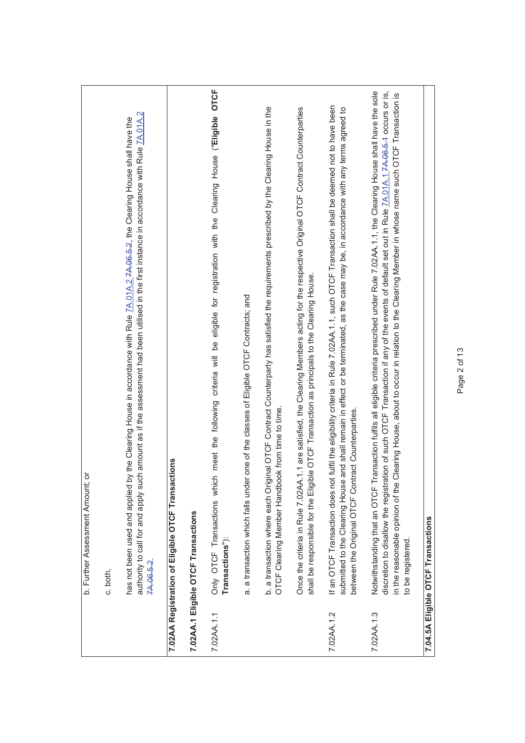|            | ŏ<br>b. Further Assessment Amount;                                                                                                                                                                                                                                                                                                                                                                                                                                        |
|------------|---------------------------------------------------------------------------------------------------------------------------------------------------------------------------------------------------------------------------------------------------------------------------------------------------------------------------------------------------------------------------------------------------------------------------------------------------------------------------|
|            | c. both,                                                                                                                                                                                                                                                                                                                                                                                                                                                                  |
|            | authority to call for and apply such amount as if the assessment had been utilised in the first instance in accordance with Rule 7A.01A.2<br>has not been used and applied by the Clearing House in accordance with Rule 7A.01A.2.7A.06.5.2. the Clearing House shall have the<br>7A.06.5.2.                                                                                                                                                                              |
|            | 7.02AA Registration of Eligible OTCF Transactions                                                                                                                                                                                                                                                                                                                                                                                                                         |
|            | 7.02AA.1 Eligible OTCF Transactions                                                                                                                                                                                                                                                                                                                                                                                                                                       |
| 7.02AA.1.1 | Only OTCF Transactions which meet the following criteria will be eligible for registration with the Clearing House ("Eligible OTCF<br>Transactions"):                                                                                                                                                                                                                                                                                                                     |
|            | one of the classes of Eligible OTCF Contracts; and<br>a. a transaction which falls under                                                                                                                                                                                                                                                                                                                                                                                  |
|            | b. a transaction where each Original OTCF Contract Counterparty has satisfied the requirements prescribed by the Clearing House in the<br>OTCF Clearing Member Handbook from time to time.                                                                                                                                                                                                                                                                                |
|            | Once the criteria in Rule 7.02AA.1.1 are satisfied, the Clearing Members acting for the respective Original OTCF Contract Counterparties<br>shall be responsible for the Eligible OTCF Transaction as principals to the Clearing House.                                                                                                                                                                                                                                   |
| 7.02AA.1.2 | If an OTCF Transaction does not fulfil the eligibility criteria in Rule 7.02AA.1.1, such OTCF Transaction shall be deemed not to have been<br>submitted to the Clearing House and shall remain in effect or be terminated, as the case may be, in accordance with any terms agreed to<br>between the Original OTCF Contract Counterparties.                                                                                                                               |
| 7.02AA.1.3 | discretion to disallow the registration of such OTCF Transaction if any of the events of default set out in Rule 7A.01A.1-7A.06-5-4 occurs or is,<br>Notwithstanding that an OTCF Transaction fulfils all eligible criteria prescribed under Rule 7.02AA.1.1, the Clearing House shall have the sole<br>Clearing House, about to occur in relation to the Clearing Member in whose name such OTCF Transaction is<br>in the reasonable opinion of the<br>to be registered. |
|            | 7.04.5A Eligible OTCF Transactions                                                                                                                                                                                                                                                                                                                                                                                                                                        |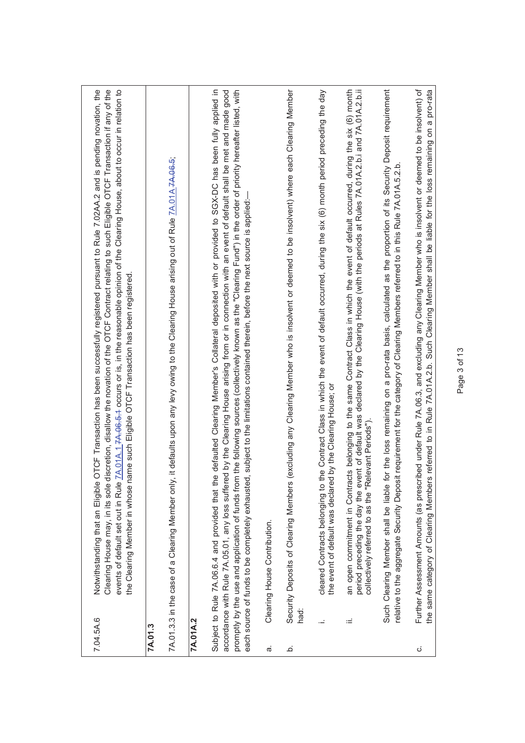|                | Clearing House may, in its sole d<br>events of default set out in Rule I<br>Notwithstanding that an Eligible (<br>7.04.5A.6                             | OTCF Transaction has been successfully registered pursuant to Rule 7.02AA.2 and is pending novation, the<br>iscretion, disallow the novation of the OTCF Contract relating to such Eligible OTCF Transaction if any of the<br>7A.01A.1.7A.06.5.4 occurs or is, in the reasonable opinion of the Clearing House, about to occur in relation to<br>the Clearing Member in whose name such Eligible OTCF Transaction has been registered.                                     |
|----------------|---------------------------------------------------------------------------------------------------------------------------------------------------------|----------------------------------------------------------------------------------------------------------------------------------------------------------------------------------------------------------------------------------------------------------------------------------------------------------------------------------------------------------------------------------------------------------------------------------------------------------------------------|
|                | 7A.01.3                                                                                                                                                 |                                                                                                                                                                                                                                                                                                                                                                                                                                                                            |
|                | 7A.01.3.3 in the case of a Clearing Member only,                                                                                                        | it defaults upon any levy owing to the Clearing House arising out of Rule 7A.01A.7A.06.5;                                                                                                                                                                                                                                                                                                                                                                                  |
|                | 7A.01A.2                                                                                                                                                |                                                                                                                                                                                                                                                                                                                                                                                                                                                                            |
|                | Subject to Rule 7A.06.6.4 and provided that the<br>promptly by the use and application of funds from<br>each source of funds to be completely exhausted | defaulted Clearing Member's Collateral deposited with or provided to SGX-DC has been fully applied in<br>accordance with Rule 7A.05.01, any loss suffered by the Clearing House arising from or in connection with an event of default shall be met and made good<br>the following sources (collectively known as the "Clearing Fund") in the order of priority hereafter listed, with<br>subject to the limitations contained therein, before the next source is applied: |
| $\vec{\sigma}$ | Clearing House Contribution.                                                                                                                            |                                                                                                                                                                                                                                                                                                                                                                                                                                                                            |
| .<br>ف         | Security Deposits of Clearing Members<br>had:                                                                                                           | excluding any Clearing Member who is insolvent or deemed to be insolvent) where each Clearing Member                                                                                                                                                                                                                                                                                                                                                                       |
|                | the event of default was declared                                                                                                                       | cleared Contracts belonging to the Contract Class in which the event of default occurred, during the six (6) month period preceding the day<br>by the Clearing House; or                                                                                                                                                                                                                                                                                                   |
|                | collectively referred to as the "Re<br>ïШ                                                                                                               | period preceding the day the event of default was declared by the Clearing House (with the periods at Rules 7A.01A.2.b.i and 7A.01A.2.b.ii<br>an open commitment in Contracts belonging to the same Contract Class in which the event of default occurred, during the six (6) month<br>levant Periods").                                                                                                                                                                   |
|                |                                                                                                                                                         | Such Clearing Member shall be liable for the loss remaining on a pro-rata basis, calculated as the proportion of its Security Deposit requirement<br>relative to the aggregate Security Deposit requirement for the category of Clearing Members referred to in this Rule 7A.01A.5.2.b                                                                                                                                                                                     |
| ن              | the same category of Clearing Members                                                                                                                   | Further Assessment Amounts (as prescribed under Rule 7A.06.3, and excluding any Clearing Member who is insolvent or deemed to be insolvent) of<br>referred to in Rule 7A.01A.2.b. Such Clearing Member shall be liable for the loss remaining on a pro-rata                                                                                                                                                                                                                |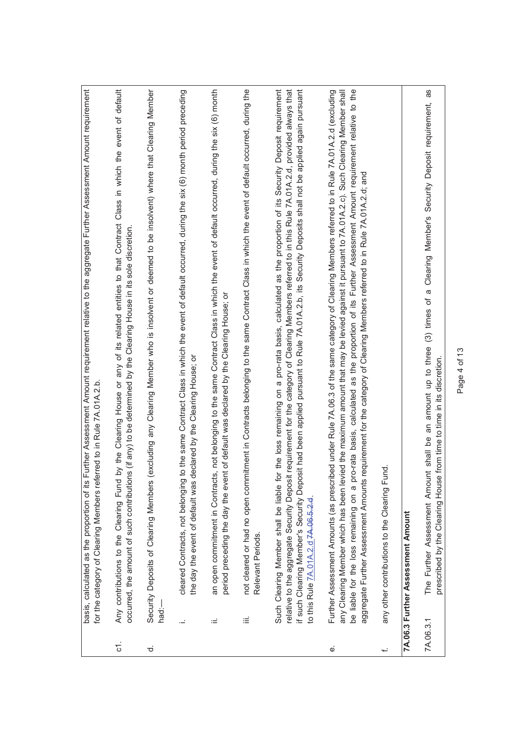|                | basis, calculated as the proportion of its     | Further Assessment Amount requirement relative to the aggregate Further Assessment Amount requirement<br>for the category of Clearing Members referred to in Rule 7A.01A.2.b.                                                                                                                                                                                                                                                                                                                                                                |
|----------------|------------------------------------------------|----------------------------------------------------------------------------------------------------------------------------------------------------------------------------------------------------------------------------------------------------------------------------------------------------------------------------------------------------------------------------------------------------------------------------------------------------------------------------------------------------------------------------------------------|
| <u>ನ</u>       | Any contributions to the Clearing Fund         | by the Clearing House or any of its related entities to that Contract Class in which the event of default<br>occurred, the amount of such contributions (if any) to be determined by the Clearing House in its sole discretion.                                                                                                                                                                                                                                                                                                              |
| $\vec{\sigma}$ | Security Deposits of Clearing Members<br>had:- | excluding any Clearing Member who is insolvent or deemed to be insolvent) where that Clearing Member                                                                                                                                                                                                                                                                                                                                                                                                                                         |
|                | cleared Contracts, not belonging<br>Ĩ,         | to the same Contract Class in which the event of default occurred, during the six (6) month period preceding<br>the day the event of default was declared by the Clearing House; or                                                                                                                                                                                                                                                                                                                                                          |
|                | an open commitment in Contract<br>ωĖ           | is, not belonging to the same Contract Class in which the event of default occurred, during the six (6) month<br>period preceding the day the event of default was declared by the Clearing House; or                                                                                                                                                                                                                                                                                                                                        |
|                | Relevant Periods.<br>≝                         | not cleared or had no open commitment in Contracts belonging to the same Contract Class in which the event of default occurred, during the                                                                                                                                                                                                                                                                                                                                                                                                   |
|                | to this Rule $7A.01A.2.07A.06.5.2.0$ .         | if such Clearing Member's Security Deposit had been applied pursuant to Rule 7A.01A.2.b, its Security Deposits shall not be applied again pursuant<br>Such Clearing Member shall be liable for the loss remaining on a pro-rata basis, calculated as the proportion of its Security Deposit requirement<br>relative to the aggregate Security Deposit requirement for the category of Clearing Members referred to in this Rule 7A.01A.2.d, provided always that                                                                             |
| $\dot{\omega}$ | aggregate Further Assessment Amounts           | be liable for the loss remaining on a pro-rata basis, calculated as the proportion of its Further Assessment Amount requirement relative to the<br>Further Assessment Amounts (as prescribed under Rule 7A.06.3 of the same category of Clearing Members referred to in Rule 7A.01A.2.d (excluding<br>any Clearing Member which has been levied the maximum amount that may be levied against it pursuant to 7A.01A.2.c). Such Clearing Member shall<br>requirement for the category of Clearing Members referred to in Rule 7A.01A.2.d; and |
| ىپ             | any other contributions to the Clearing Fund.  |                                                                                                                                                                                                                                                                                                                                                                                                                                                                                                                                              |
|                | 7A.06.3 Further Assessment Amount              |                                                                                                                                                                                                                                                                                                                                                                                                                                                                                                                                              |
|                | 7A.06.3.1                                      | 8g<br>The Further Assessment Amount shall be an amount up to three (3) times of a Clearing Member's Security Deposit requirement,<br>prescribed by the Clearing House from time to time in its discretion.                                                                                                                                                                                                                                                                                                                                   |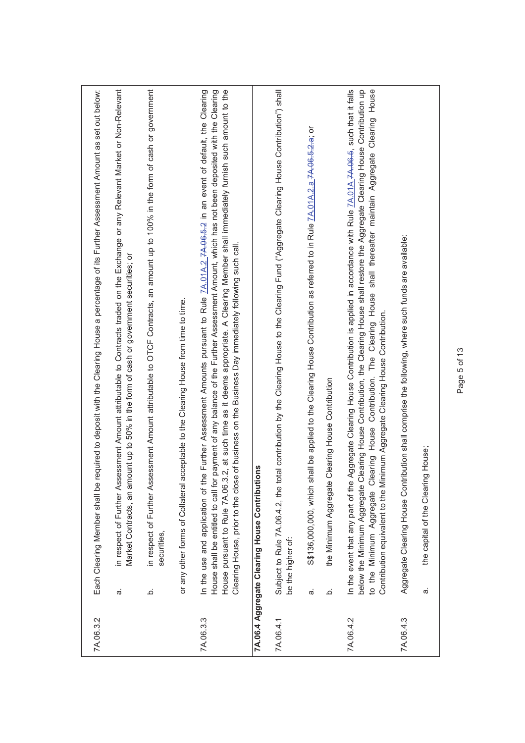| 7A.06.3.2 | equired to deposit with the Clearing House a percentage of its Further Assessment Amount as set out below:<br>Each Clearing Member shall be r                                                                                                                                                                                                                                                                                                                                                                                                |
|-----------|----------------------------------------------------------------------------------------------------------------------------------------------------------------------------------------------------------------------------------------------------------------------------------------------------------------------------------------------------------------------------------------------------------------------------------------------------------------------------------------------------------------------------------------------|
|           | essment Amount attributable to Contracts traded on the Exchange or any Relevant Market or Non-Relevant<br>Market Contracts, an amount up to 50% in the form of cash or government securities; or<br>in respect of Further Ass<br>ā                                                                                                                                                                                                                                                                                                           |
|           | essment Amount attributable to OTCF Contracts, an amount up to 100% in the form of cash or government<br>in respect of Further Ass<br>securities,<br>خ                                                                                                                                                                                                                                                                                                                                                                                       |
|           | cceptable to the Clearing House from time to time.<br>or any other forms of Collateral a                                                                                                                                                                                                                                                                                                                                                                                                                                                     |
| 7A.06.3.3 | .2, at such time as it deems appropriate. A Clearing Member shall immediately furnish such amount to the<br>In the use and application of the Further Assessment Amounts pursuant to Rule 74.014.2 74.06.6.2 in an event of default, the Clearing<br>payment of any balance of the Further Assessment Amount, which has not been deposited with the Clearing<br>Clearing House, prior to the close of business on the Business Day immediately following such call.<br>House shall be entitled to call for<br>House pursuant to Rule 7A.06.3 |
|           | 7A.06.4 Aggregate Clearing House Contributions                                                                                                                                                                                                                                                                                                                                                                                                                                                                                               |
| 7A.06.4.1 | Subject to Rule 7A.06.4.2, the total contribution by the Clearing House to the Clearing Fund ("Aggregate Clearing House Contribution") shall<br>be the higher of:                                                                                                                                                                                                                                                                                                                                                                            |
|           | S\$136,000, which shall be applied to the Clearing House Contribution as referred to in Rule 7A.01A.2.a 7A.06-5-2-a; or<br>ά,                                                                                                                                                                                                                                                                                                                                                                                                                |
|           | Clearing House Contribution<br>the Minimum Aggregate<br>.<br>ف                                                                                                                                                                                                                                                                                                                                                                                                                                                                               |
| 7A.06.4.2 | House<br>Aggregate Clearing House Contribution is applied in accordance with Rule 7A.01A.7A.06-5, such that it falls<br>below the Minimum Aggregate Clearing House Contribution, the Clearing House shall restore the Aggregate Clearing House Contribution up<br>Clearing<br>to the Minimum Aggregate Clearing House Contribution. The Clearing House shall thereafter maintain Aggregate<br>Contribution equivalent to the Minimum Aggregate Clearing House Contribution.<br>In the event that any part of the                             |
| 7A.06.4.3 | Aggregate Clearing House Contribution shall comprise the following, where such funds are available:                                                                                                                                                                                                                                                                                                                                                                                                                                          |
|           | the capital of the Clearing House;<br>$\vec{\sigma}$                                                                                                                                                                                                                                                                                                                                                                                                                                                                                         |
|           |                                                                                                                                                                                                                                                                                                                                                                                                                                                                                                                                              |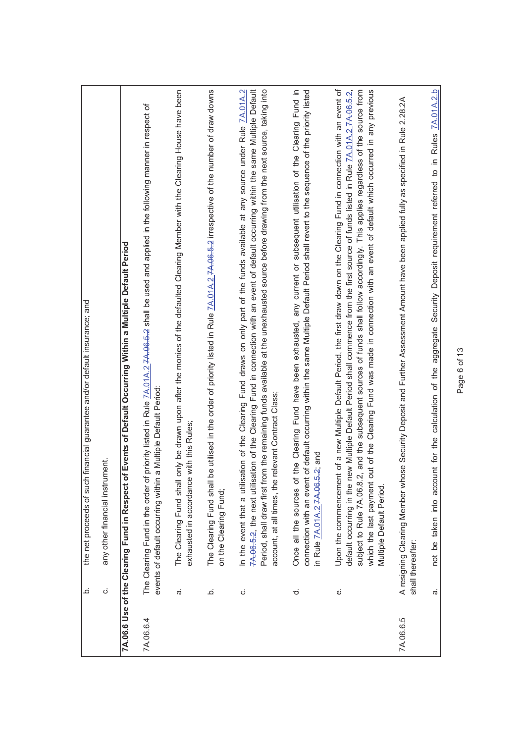|           | financial guarantee and/or default insurance; and<br>the net proceeds of such<br>خ                                                                                                                                                                                                                                                                                                                                                                                                                                                                                                         |
|-----------|--------------------------------------------------------------------------------------------------------------------------------------------------------------------------------------------------------------------------------------------------------------------------------------------------------------------------------------------------------------------------------------------------------------------------------------------------------------------------------------------------------------------------------------------------------------------------------------------|
|           | ment.<br>any other financial instru<br>ن                                                                                                                                                                                                                                                                                                                                                                                                                                                                                                                                                   |
|           | of Events of Default Occurring Within a Multiple Default Period<br>7A.06.6 Use of the Clearing Fund in Respect o                                                                                                                                                                                                                                                                                                                                                                                                                                                                           |
| 7A.06.6.4 | The Clearing Fund in the order of priority listed in Rule 7A.01A.2 7A.06.5.2 shall be used and applied in the following manner in respect of<br>a Multiple Default Period<br>events of default occurring within                                                                                                                                                                                                                                                                                                                                                                            |
|           | only be drawn upon after the monies of the defaulted Clearing Member with the Clearing House have been<br>exhausted in accordance with this Rules;<br>The Clearing Fund shall<br>$\vec{\sigma}$                                                                                                                                                                                                                                                                                                                                                                                            |
|           | be utilised in the order of priority listed in Rule ZA.01A.2.7A.06.5.2 irrespective of the number of draw downs<br>The Clearing Fund shall<br>on the Clearing Fund;<br>.<br>ف                                                                                                                                                                                                                                                                                                                                                                                                              |
|           | 7A-06-5-2, the next utilisation of the Clearing Fund in connection with an event of default occurring within the same Multiple Default<br>Period, shall draw first from the remaining funds available at the unexhausted source before drawing from the next source, taking into<br>ation of the Clearing Fund draws on only part of the funds available at any source under Rule 7A.01A.2<br>account, at all times, the relevant Contract Class;<br>In the event that a utilis<br>ن                                                                                                       |
|           | of default occurring within the same Multiple Default Period shall revert to the sequence of the priority listed<br>the Clearing Fund have been exhausted, any current or subsequent utilisation of the Clearing Fund in<br>in Rule 7A.01A.2 7A.06.5.2; and<br>Once all the sources of<br>connection with an event<br>$\vec{\sigma}$                                                                                                                                                                                                                                                       |
|           | Upon the commencement of a new Multiple Default Period, the first draw down on the Clearing Fund in connection with an event of<br>2, and the subsequent sources of funds shall follow accordingly. This applies regardless of the source from<br>out of the Clearing Fund was made in connection with an event of default which occurred in any previous<br>default occurring in the new Multiple Default Period shall commence from the first source of funds listed in Rule 7A.01A.2 7A.08.5-2,<br>subject to Rule 7A.06.8.<br>which the last payment<br>Multiple Default Period.<br>نه |
| 7A.06.6.5 | A resigning Clearing Member whose Security Deposit and Further Assessment Amount have been applied fully as specified in Rule 2.28.2A<br>shall thereafter:                                                                                                                                                                                                                                                                                                                                                                                                                                 |
|           | not be taken into account for the calculation of the aggregate Security Deposit requirement referred to in Rules 7A.01A.2.b<br>$\dot{\sigma}$                                                                                                                                                                                                                                                                                                                                                                                                                                              |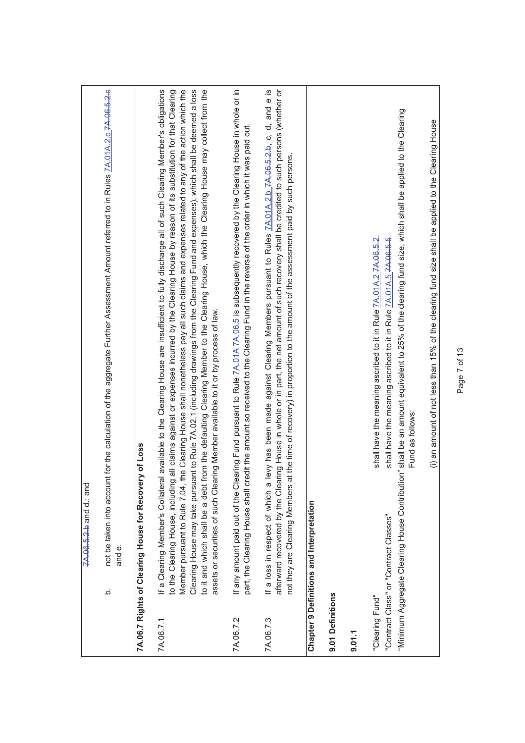|                  | 7A.06.5.2.b and d.; and                                                                                                                                                                                                                                                                                                                                                                                                                                                                                                                                                                                                                                                                                                                                                                                                            |
|------------------|------------------------------------------------------------------------------------------------------------------------------------------------------------------------------------------------------------------------------------------------------------------------------------------------------------------------------------------------------------------------------------------------------------------------------------------------------------------------------------------------------------------------------------------------------------------------------------------------------------------------------------------------------------------------------------------------------------------------------------------------------------------------------------------------------------------------------------|
|                  | for the calculation of the aggregate Further Assessment Amount referred to in Rules 7A.01A.2.c 7A.08.5.2.6<br>not be taken into account<br>and e.<br>خ                                                                                                                                                                                                                                                                                                                                                                                                                                                                                                                                                                                                                                                                             |
|                  | 7A.06.7 Rights of Clearing House for Recovery of Loss                                                                                                                                                                                                                                                                                                                                                                                                                                                                                                                                                                                                                                                                                                                                                                              |
| 7A.06.7.1        | available to the Clearing House are insufficient to fully discharge all of such Clearing Member's obligations<br>Member pursuant to Rule 7.04, the Clearing House shall nonetheless pay all such claims and expenses related to any of the action which the<br>Clearing House may take pursuant to Rule 7A.02.1 (including drawings from the Clearing Fund and expenses), which shall be deemed a loss<br>to it and which shall be a debt from the defaulting Clearing Member to the Clearing House, which the Clearing House may collect from the<br>all claims against or expenses incurred by the Clearing House by reason of its substitution for that Clearing<br>assets or securities of such Clearing Member available to it or by process of law.<br>If a Clearing Member's Collateral<br>to the Clearing House, including |
| 7A.06.7.2        | If any amount paid out of the Clearing Fund pursuant to Rule 7A.01A 7A.08.5 is subsequently recovered by the Clearing House in whole or in<br>part, the Clearing House shall credit the amount so received to the Clearing Fund in the reverse of the order in which it was paid out.                                                                                                                                                                                                                                                                                                                                                                                                                                                                                                                                              |
| 7A.06.7.3        | evy has been made against Clearing Members pursuant to Rules 7A.01A.2.b 7A.065.2.b, c, d, and e is<br>afterward recovered by the Clearing House in whole or in part, the net amount of such recovery shall be credited to such persons (whether or<br>not they are Clearing Members at the time of recovery) in proportion to the amount of the assessment paid by such persons.<br>If a loss in respect of which a I                                                                                                                                                                                                                                                                                                                                                                                                              |
|                  | <b>Chapter 9 Definitions and Interpretation</b>                                                                                                                                                                                                                                                                                                                                                                                                                                                                                                                                                                                                                                                                                                                                                                                    |
| 9.01 Definitions |                                                                                                                                                                                                                                                                                                                                                                                                                                                                                                                                                                                                                                                                                                                                                                                                                                    |
| 9.01.1           |                                                                                                                                                                                                                                                                                                                                                                                                                                                                                                                                                                                                                                                                                                                                                                                                                                    |
| "Clearing Fund"  | shall be an amount equivalent to 25% of the clearing fund size, which shall be applied to the Clearing<br>shall have the meaning ascribed to it in Rule $7A.01A.27A.06.5.2$ .<br>shall have the meaning ascribed to it in Rule 7A.01A.5 7A.06.5.5.<br>Fund as follows:<br>"Minimum Aggregate Clearing House Contribution"<br>"Contract Class" or "Contract Classes"                                                                                                                                                                                                                                                                                                                                                                                                                                                                |
|                  | (i) an amount of not less than 15% of the clearing fund size shall be applied to the Clearing House                                                                                                                                                                                                                                                                                                                                                                                                                                                                                                                                                                                                                                                                                                                                |